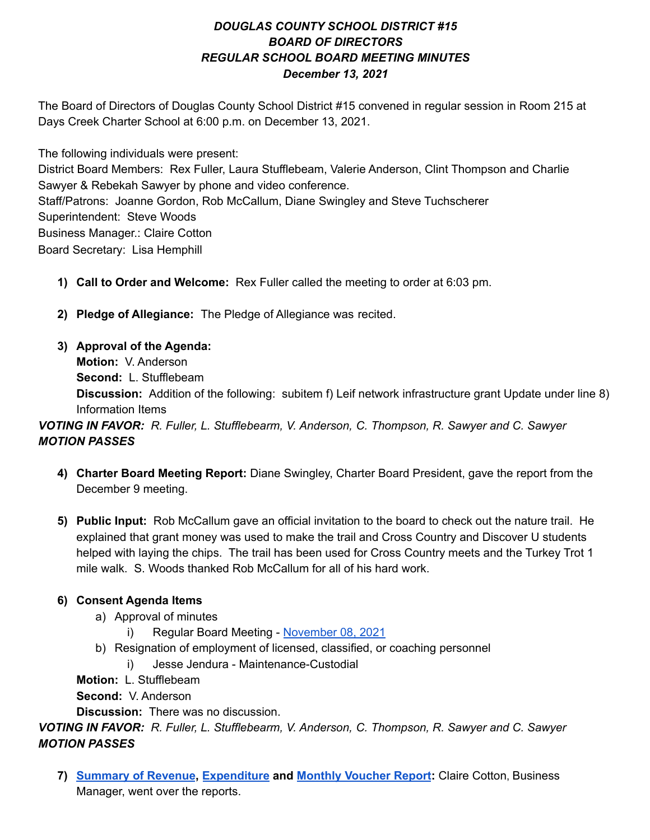# *DOUGLAS COUNTY SCHOOL DISTRICT #15 BOARD OF DIRECTORS REGULAR SCHOOL BOARD MEETING MINUTES December 13, 2021*

The Board of Directors of Douglas County School District #15 convened in regular session in Room 215 at Days Creek Charter School at 6:00 p.m. on December 13, 2021.

The following individuals were present:

District Board Members: Rex Fuller, Laura Stufflebeam, Valerie Anderson, Clint Thompson and Charlie Sawyer & Rebekah Sawyer by phone and video conference. Staff/Patrons: Joanne Gordon, Rob McCallum, Diane Swingley and Steve Tuchscherer Superintendent: Steve Woods Business Manager.: Claire Cotton Board Secretary: Lisa Hemphill

- **1) Call to Order and Welcome:** Rex Fuller called the meeting to order at 6:03 pm.
- **2) Pledge of Allegiance:** The Pledge of Allegiance was recited.
- **3) Approval of the Agenda:**

**Motion:** V. Anderson **Second:** L. Stufflebeam **Discussion:** Addition of the following: subitem f) Leif network infrastructure grant Update under line 8) Information Items

*VOTING IN FAVOR: R. Fuller, L. Stufflebearm, V. Anderson, C. Thompson, R. Sawyer and C. Sawyer MOTION PASSES*

- **4) Charter Board Meeting Report:** Diane Swingley, Charter Board President, gave the report from the December 9 meeting.
- **5) Public Input:** Rob McCallum gave an official invitation to the board to check out the nature trail. He explained that grant money was used to make the trail and Cross Country and Discover U students helped with laying the chips. The trail has been used for Cross Country meets and the Turkey Trot 1 mile walk. S. Woods thanked Rob McCallum for all of his hard work.

### **6) Consent Agenda Items**

- a) Approval of minutes
	- i) Regular Board Meeting November 08, 2021
- b) Resignation of employment of licensed, classified, or coaching personnel
	- i) Jesse Jendura Maintenance-Custodial

**Motion:** L. Stufflebeam

**Second:** V. Anderson

**Discussion:** There was no discussion.

*VOTING IN FAVOR: R. Fuller, L. Stufflebearm, V. Anderson, C. Thompson, R. Sawyer and C. Sawyer MOTION PASSES*

**7) Summary of Revenue, Expenditure and Monthly Voucher Report:** Claire Cotton, Business Manager, went over the reports.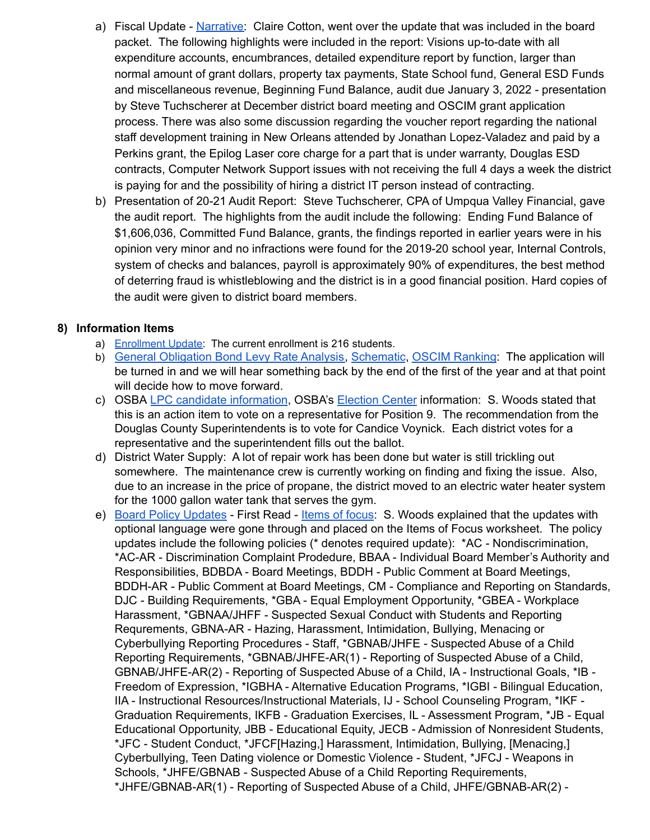- a) Fiscal Update Narrative: Claire Cotton, went over the update that was included in the board packet. The following highlights were included in the report: Visions up-to-date with all expenditure accounts, encumbrances, detailed expenditure report by function, larger than normal amount of grant dollars, property tax payments, State School fund, General ESD Funds and miscellaneous revenue, Beginning Fund Balance, audit due January 3, 2022 - presentation by Steve Tuchscherer at December district board meeting and OSCIM grant application process. There was also some discussion regarding the voucher report regarding the national staff development training in New Orleans attended by Jonathan Lopez-Valadez and paid by a Perkins grant, the Epilog Laser core charge for a part that is under warranty, Douglas ESD contracts, Computer Network Support issues with not receiving the full 4 days a week the district is paying for and the possibility of hiring a district IT person instead of contracting.
- b) Presentation of 20-21 Audit Report: Steve Tuchscherer, CPA of Umpqua Valley Financial, gave the audit report. The highlights from the audit include the following: Ending Fund Balance of \$1,606,036, Committed Fund Balance, grants, the findings reported in earlier years were in his opinion very minor and no infractions were found for the 2019-20 school year, Internal Controls, system of checks and balances, payroll is approximately 90% of expenditures, the best method of deterring fraud is whistleblowing and the district is in a good financial position. Hard copies of the audit were given to district board members.

### **8) Information Items**

- a) Enrollment Update: The current enrollment is 216 students.
- b) General Obligation Bond Levy Rate Analysis, Schematic, OSCIM Ranking: The application will be turned in and we will hear something back by the end of the first of the year and at that point will decide how to move forward.
- c) OSBA LPC candidate information, OSBA's Election Center information: S. Woods stated that this is an action item to vote on a representative for Position 9. The recommendation from the Douglas County Superintendents is to vote for Candice Voynick. Each district votes for a representative and the superintendent fills out the ballot.
- d) District Water Supply: A lot of repair work has been done but water is still trickling out somewhere. The maintenance crew is currently working on finding and fixing the issue. Also, due to an increase in the price of propane, the district moved to an electric water heater system for the 1000 gallon water tank that serves the gym.
- e) Board Policy Updates First Read Items of focus: S. Woods explained that the updates with optional language were gone through and placed on the Items of Focus worksheet. The policy updates include the following policies (\* denotes required update): \*AC - Nondiscrimination, \*AC-AR - Discrimination Complaint Prodedure, BBAA - Individual Board Member's Authority and Responsibilities, BDBDA - Board Meetings, BDDH - Public Comment at Board Meetings, BDDH-AR - Public Comment at Board Meetings, CM - Compliance and Reporting on Standards, DJC - Building Requirements, \*GBA - Equal Employment Opportunity, \*GBEA - Workplace Harassment, \*GBNAA/JHFF - Suspected Sexual Conduct with Students and Reporting Requrements, GBNA-AR - Hazing, Harassment, Intimidation, Bullying, Menacing or Cyberbullying Reporting Procedures - Staff, \*GBNAB/JHFE - Suspected Abuse of a Child Reporting Requirements, \*GBNAB/JHFE-AR(1) - Reporting of Suspected Abuse of a Child, GBNAB/JHFE-AR(2) - Reporting of Suspected Abuse of a Child, IA - Instructional Goals, \*IB - Freedom of Expression, \*IGBHA - Alternative Education Programs, \*IGBI - Bilingual Education, IIA - Instructional Resources/Instructional Materials, IJ - School Counseling Program, \*IKF - Graduation Requirements, IKFB - Graduation Exercises, IL - Assessment Program, \*JB - Equal Educational Opportunity, JBB - Educational Equity, JECB - Admission of Nonresident Students, \*JFC - Student Conduct, \*JFCF[Hazing,] Harassment, Intimidation, Bullying, [Menacing,] Cyberbullying, Teen Dating violence or Domestic Violence - Student, \*JFCJ - Weapons in Schools, \*JHFE/GBNAB - Suspected Abuse of a Child Reporting Requirements, \*JHFE/GBNAB-AR(1) - Reporting of Suspected Abuse of a Child, JHFE/GBNAB-AR(2) -